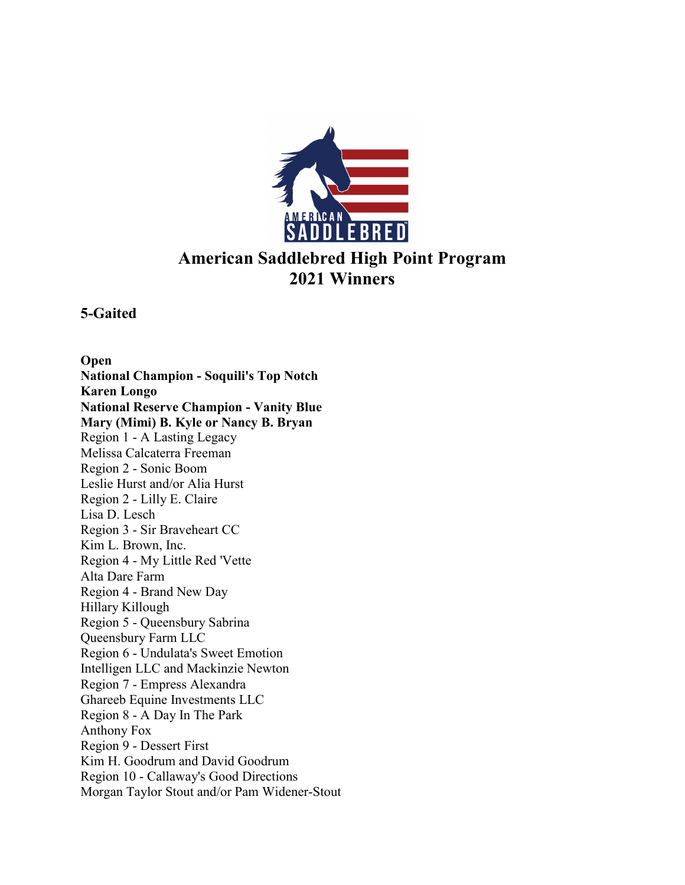

# **American Saddlebred High Point Program 2021 Winners**

**5-Gaited**

**Open National Champion - Soquili's Top Notch Karen Longo National Reserve Champion - Vanity Blue Mary (Mimi) B. Kyle or Nancy B. Bryan**  Region 1 - A Lasting Legacy Melissa Calcaterra Freeman Region 2 - Sonic Boom Leslie Hurst and/or Alia Hurst Region 2 - Lilly E. Claire Lisa D. Lesch Region 3 - Sir Braveheart CC Kim L. Brown, Inc. Region 4 - My Little Red 'Vette Alta Dare Farm Region 4 - Brand New Day Hillary Killough Region 5 - Queensbury Sabrina Queensbury Farm LLC Region 6 - Undulata's Sweet Emotion Intelligen LLC and Mackinzie Newton Region 7 - Empress Alexandra Ghareeb Equine Investments LLC Region 8 - A Day In The Park Anthony Fox Region 9 - Dessert First Kim H. Goodrum and David Goodrum Region 10 - Callaway's Good Directions Morgan Taylor Stout and/or Pam Widener-Stout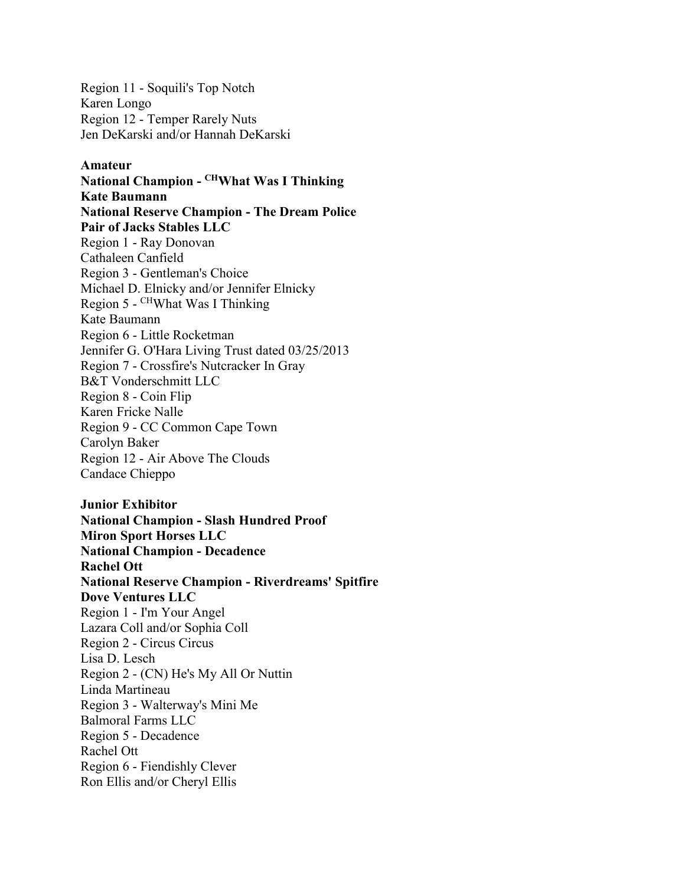Region 11 - Soquili's Top Notch Karen Longo Region 12 - Temper Rarely Nuts Jen DeKarski and/or Hannah DeKarski

#### **Amateur**

**National Champion - CHWhat Was I Thinking Kate Baumann National Reserve Champion - The Dream Police Pair of Jacks Stables LLC**  Region 1 - Ray Donovan Cathaleen Canfield Region 3 - Gentleman's Choice Michael D. Elnicky and/or Jennifer Elnicky Region 5 - CHWhat Was I Thinking Kate Baumann Region 6 - Little Rocketman Jennifer G. O'Hara Living Trust dated 03/25/2013 Region 7 - Crossfire's Nutcracker In Gray B&T Vonderschmitt LLC Region 8 - Coin Flip Karen Fricke Nalle Region 9 - CC Common Cape Town Carolyn Baker Region 12 - Air Above The Clouds Candace Chieppo

**Junior Exhibitor National Champion - Slash Hundred Proof Miron Sport Horses LLC National Champion - Decadence Rachel Ott National Reserve Champion - Riverdreams' Spitfire Dove Ventures LLC**  Region 1 - I'm Your Angel Lazara Coll and/or Sophia Coll Region 2 - Circus Circus Lisa D. Lesch Region 2 - (CN) He's My All Or Nuttin Linda Martineau Region 3 - Walterway's Mini Me Balmoral Farms LLC Region 5 - Decadence Rachel Ott Region 6 - Fiendishly Clever Ron Ellis and/or Cheryl Ellis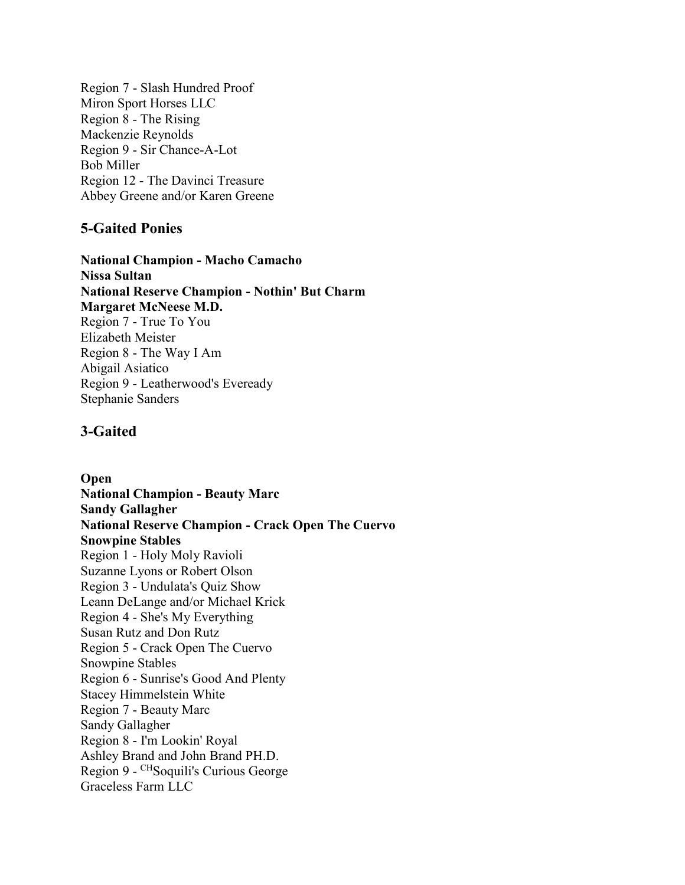Region 7 - Slash Hundred Proof Miron Sport Horses LLC Region 8 - The Rising Mackenzie Reynolds Region 9 - Sir Chance-A-Lot Bob Miller Region 12 - The Davinci Treasure Abbey Greene and/or Karen Greene

#### **5-Gaited Ponies**

**National Champion - Macho Camacho Nissa Sultan National Reserve Champion - Nothin' But Charm Margaret McNeese M.D.**  Region 7 - True To You Elizabeth Meister Region 8 - The Way I Am Abigail Asiatico Region 9 - Leatherwood's Eveready Stephanie Sanders

## **3-Gaited**

**Open National Champion - Beauty Marc Sandy Gallagher National Reserve Champion - Crack Open The Cuervo Snowpine Stables**  Region 1 - Holy Moly Ravioli Suzanne Lyons or Robert Olson Region 3 - Undulata's Quiz Show Leann DeLange and/or Michael Krick Region 4 - She's My Everything Susan Rutz and Don Rutz Region 5 - Crack Open The Cuervo Snowpine Stables Region 6 - Sunrise's Good And Plenty Stacey Himmelstein White Region 7 - Beauty Marc Sandy Gallagher Region 8 - I'm Lookin' Royal Ashley Brand and John Brand PH.D. Region 9 - CHSoquili's Curious George Graceless Farm LLC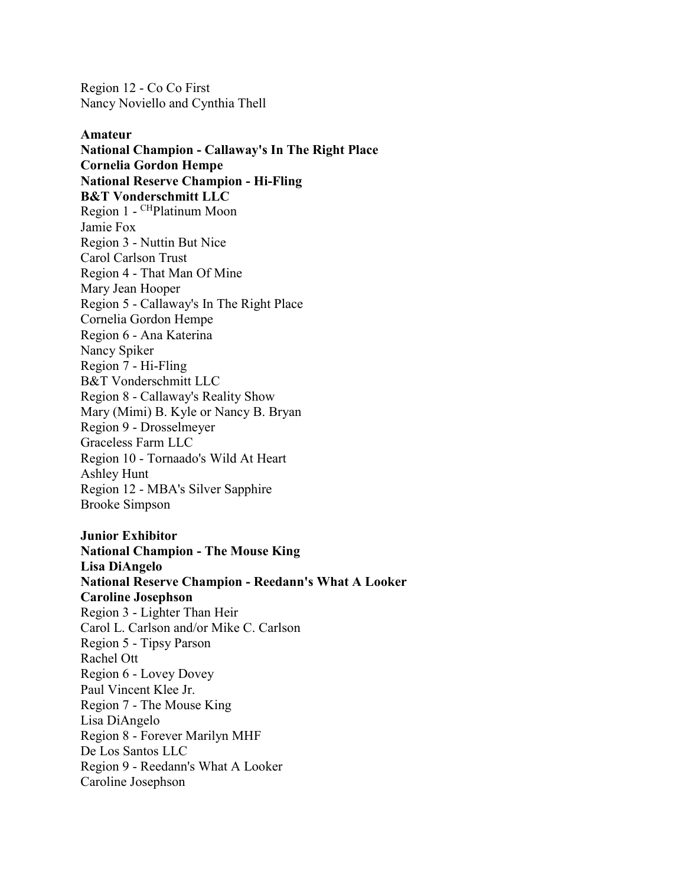Region 12 - Co Co First Nancy Noviello and Cynthia Thell

**Amateur National Champion - Callaway's In The Right Place Cornelia Gordon Hempe National Reserve Champion - Hi-Fling B&T Vonderschmitt LLC**  Region 1 - CHPlatinum Moon Jamie Fox Region 3 - Nuttin But Nice Carol Carlson Trust Region 4 - That Man Of Mine Mary Jean Hooper Region 5 - Callaway's In The Right Place Cornelia Gordon Hempe Region 6 - Ana Katerina Nancy Spiker Region 7 - Hi-Fling B&T Vonderschmitt LLC Region 8 - Callaway's Reality Show Mary (Mimi) B. Kyle or Nancy B. Bryan Region 9 - Drosselmeyer Graceless Farm LLC Region 10 - Tornaado's Wild At Heart Ashley Hunt Region 12 - MBA's Silver Sapphire Brooke Simpson

**Junior Exhibitor National Champion - The Mouse King Lisa DiAngelo National Reserve Champion - Reedann's What A Looker Caroline Josephson**  Region 3 - Lighter Than Heir Carol L. Carlson and/or Mike C. Carlson Region 5 - Tipsy Parson Rachel Ott Region 6 - Lovey Dovey Paul Vincent Klee Jr. Region 7 - The Mouse King Lisa DiAngelo Region 8 - Forever Marilyn MHF De Los Santos LLC Region 9 - Reedann's What A Looker Caroline Josephson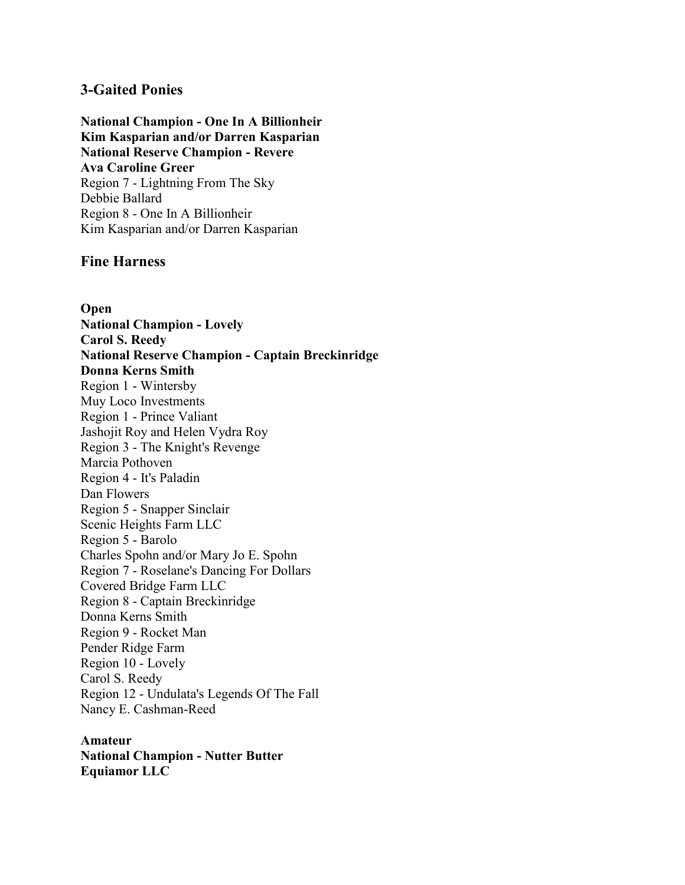#### **3-Gaited Ponies**

**National Champion - One In A Billionheir Kim Kasparian and/or Darren Kasparian National Reserve Champion - Revere Ava Caroline Greer**  Region 7 - Lightning From The Sky Debbie Ballard Region 8 - One In A Billionheir Kim Kasparian and/or Darren Kasparian

#### **Fine Harness**

**Open National Champion - Lovely Carol S. Reedy National Reserve Champion - Captain Breckinridge Donna Kerns Smith**  Region 1 - Wintersby Muy Loco Investments Region 1 - Prince Valiant Jashojit Roy and Helen Vydra Roy Region 3 - The Knight's Revenge Marcia Pothoven Region 4 - It's Paladin Dan Flowers Region 5 - Snapper Sinclair Scenic Heights Farm LLC Region 5 - Barolo Charles Spohn and/or Mary Jo E. Spohn Region 7 - Roselane's Dancing For Dollars Covered Bridge Farm LLC Region 8 - Captain Breckinridge Donna Kerns Smith Region 9 - Rocket Man Pender Ridge Farm Region 10 - Lovely Carol S. Reedy Region 12 - Undulata's Legends Of The Fall Nancy E. Cashman-Reed

#### **Amateur National Champion - Nutter Butter Equiamor LLC**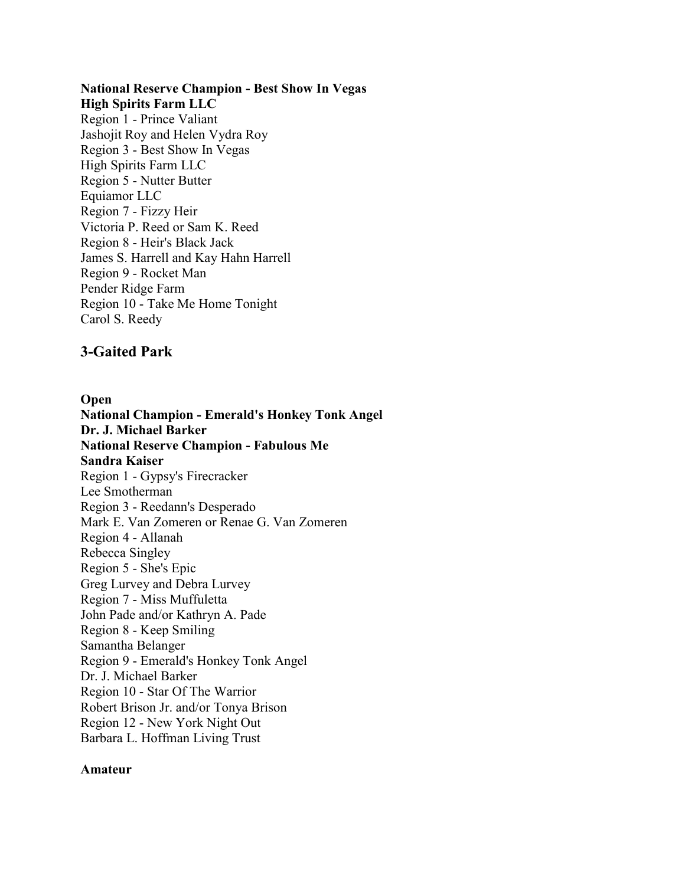## **National Reserve Champion - Best Show In Vegas**

**High Spirits Farm LLC**  Region 1 - Prince Valiant Jashojit Roy and Helen Vydra Roy Region 3 - Best Show In Vegas High Spirits Farm LLC Region 5 - Nutter Butter Equiamor LLC Region 7 - Fizzy Heir Victoria P. Reed or Sam K. Reed Region 8 - Heir's Black Jack James S. Harrell and Kay Hahn Harrell Region 9 - Rocket Man Pender Ridge Farm Region 10 - Take Me Home Tonight Carol S. Reedy

#### **3-Gaited Park**

**Open National Champion - Emerald's Honkey Tonk Angel Dr. J. Michael Barker National Reserve Champion - Fabulous Me Sandra Kaiser**  Region 1 - Gypsy's Firecracker Lee Smotherman Region 3 - Reedann's Desperado Mark E. Van Zomeren or Renae G. Van Zomeren Region 4 - Allanah Rebecca Singley Region 5 - She's Epic Greg Lurvey and Debra Lurvey Region 7 - Miss Muffuletta John Pade and/or Kathryn A. Pade Region 8 - Keep Smiling Samantha Belanger Region 9 - Emerald's Honkey Tonk Angel Dr. J. Michael Barker Region 10 - Star Of The Warrior Robert Brison Jr. and/or Tonya Brison Region 12 - New York Night Out Barbara L. Hoffman Living Trust

#### **Amateur**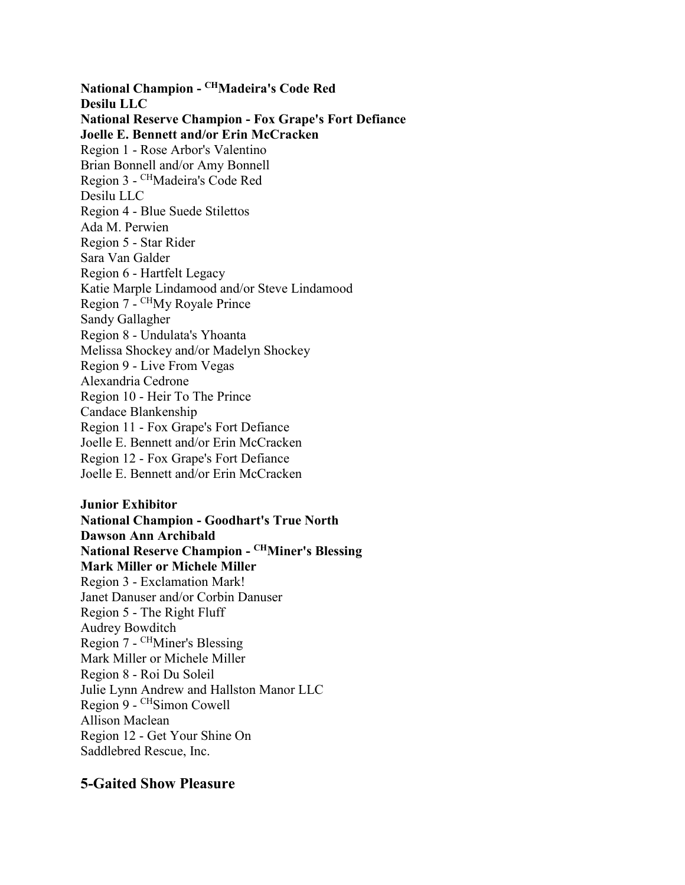**National Champion - CHMadeira's Code Red Desilu LLC National Reserve Champion - Fox Grape's Fort Defiance Joelle E. Bennett and/or Erin McCracken**  Region 1 - Rose Arbor's Valentino Brian Bonnell and/or Amy Bonnell Region 3 - CHMadeira's Code Red Desilu LLC Region 4 - Blue Suede Stilettos Ada M. Perwien Region 5 - Star Rider Sara Van Galder Region 6 - Hartfelt Legacy Katie Marple Lindamood and/or Steve Lindamood Region 7 - CHMy Royale Prince Sandy Gallagher Region 8 - Undulata's Yhoanta Melissa Shockey and/or Madelyn Shockey Region 9 - Live From Vegas Alexandria Cedrone Region 10 - Heir To The Prince Candace Blankenship Region 11 - Fox Grape's Fort Defiance Joelle E. Bennett and/or Erin McCracken Region 12 - Fox Grape's Fort Defiance Joelle E. Bennett and/or Erin McCracken

**Junior Exhibitor National Champion - Goodhart's True North Dawson Ann Archibald National Reserve Champion - CHMiner's Blessing Mark Miller or Michele Miller**  Region 3 - Exclamation Mark! Janet Danuser and/or Corbin Danuser Region 5 - The Right Fluff Audrey Bowditch Region 7 - CHMiner's Blessing Mark Miller or Michele Miller Region 8 - Roi Du Soleil Julie Lynn Andrew and Hallston Manor LLC Region 9 - CHSimon Cowell Allison Maclean Region 12 - Get Your Shine On Saddlebred Rescue, Inc.

#### **5-Gaited Show Pleasure**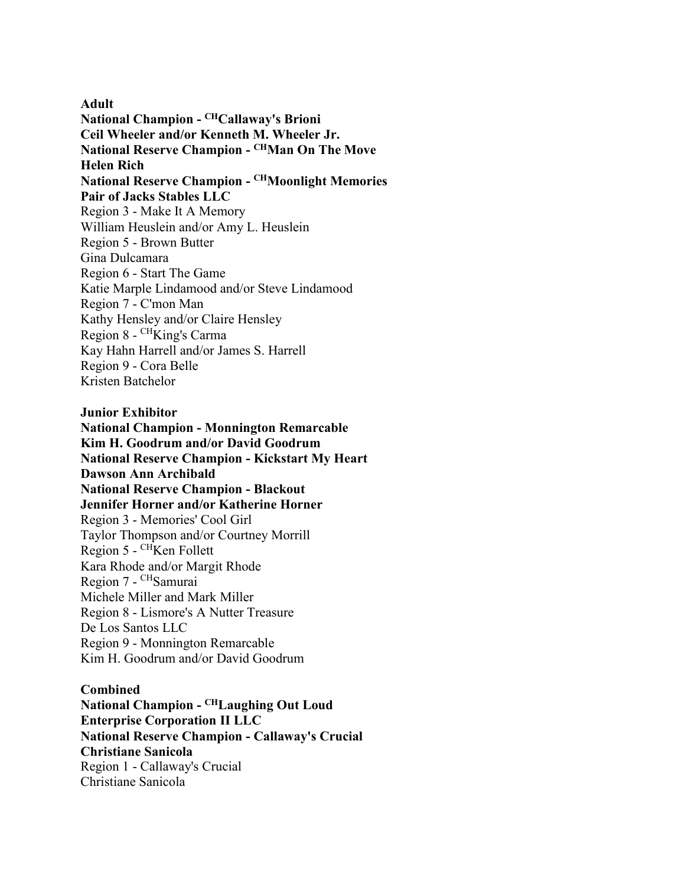**Adult National Champion - CHCallaway's Brioni Ceil Wheeler and/or Kenneth M. Wheeler Jr. National Reserve Champion - CHMan On The Move Helen Rich National Reserve Champion - CHMoonlight Memories Pair of Jacks Stables LLC**  Region 3 - Make It A Memory William Heuslein and/or Amy L. Heuslein Region 5 - Brown Butter Gina Dulcamara Region 6 - Start The Game Katie Marple Lindamood and/or Steve Lindamood Region 7 - C'mon Man Kathy Hensley and/or Claire Hensley Region 8 - CHKing's Carma Kay Hahn Harrell and/or James S. Harrell Region 9 - Cora Belle Kristen Batchelor

**Junior Exhibitor**

**National Champion - Monnington Remarcable Kim H. Goodrum and/or David Goodrum National Reserve Champion - Kickstart My Heart Dawson Ann Archibald National Reserve Champion - Blackout Jennifer Horner and/or Katherine Horner**  Region 3 - Memories' Cool Girl Taylor Thompson and/or Courtney Morrill Region  $5 -$ <sup>CH</sup>Ken Follett Kara Rhode and/or Margit Rhode Region 7 - CHSamurai Michele Miller and Mark Miller Region 8 - Lismore's A Nutter Treasure De Los Santos LLC Region 9 - Monnington Remarcable Kim H. Goodrum and/or David Goodrum

#### **Combined**

**National Champion - CHLaughing Out Loud Enterprise Corporation II LLC National Reserve Champion - Callaway's Crucial Christiane Sanicola**  Region 1 - Callaway's Crucial Christiane Sanicola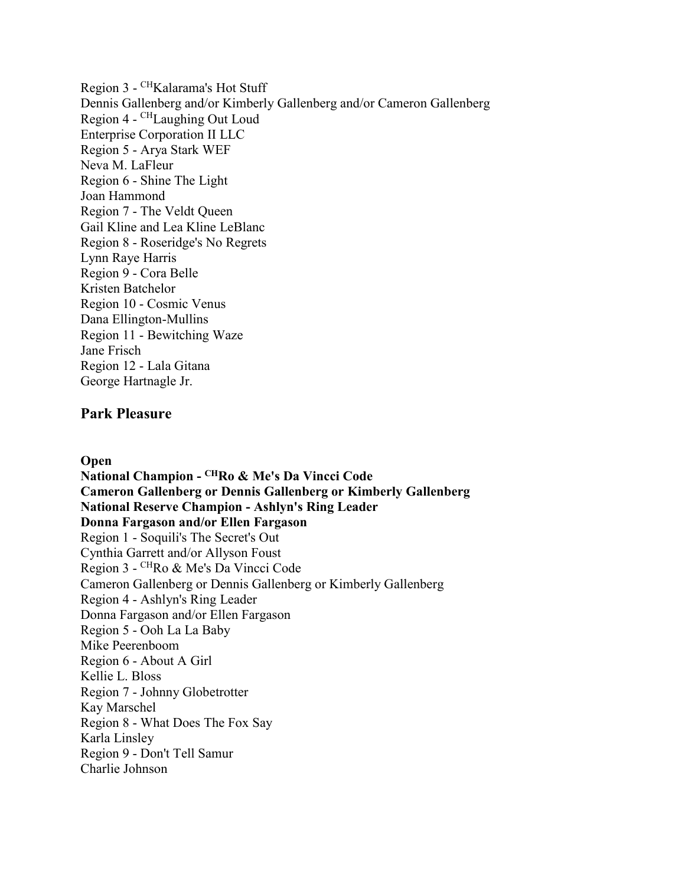Region 3 - CHKalarama's Hot Stuff Dennis Gallenberg and/or Kimberly Gallenberg and/or Cameron Gallenberg Region 4 - CHLaughing Out Loud Enterprise Corporation II LLC Region 5 - Arya Stark WEF Neva M. LaFleur Region 6 - Shine The Light Joan Hammond Region 7 - The Veldt Queen Gail Kline and Lea Kline LeBlanc Region 8 - Roseridge's No Regrets Lynn Raye Harris Region 9 - Cora Belle Kristen Batchelor Region 10 - Cosmic Venus Dana Ellington-Mullins Region 11 - Bewitching Waze Jane Frisch Region 12 - Lala Gitana George Hartnagle Jr.

#### **Park Pleasure**

**Open**

**National Champion - CHRo & Me's Da Vincci Code Cameron Gallenberg or Dennis Gallenberg or Kimberly Gallenberg National Reserve Champion - Ashlyn's Ring Leader Donna Fargason and/or Ellen Fargason**  Region 1 - Soquili's The Secret's Out Cynthia Garrett and/or Allyson Foust Region 3 - CHRo & Me's Da Vincci Code Cameron Gallenberg or Dennis Gallenberg or Kimberly Gallenberg Region 4 - Ashlyn's Ring Leader Donna Fargason and/or Ellen Fargason Region 5 - Ooh La La Baby Mike Peerenboom Region 6 - About A Girl Kellie L. Bloss Region 7 - Johnny Globetrotter Kay Marschel Region 8 - What Does The Fox Say Karla Linsley Region 9 - Don't Tell Samur Charlie Johnson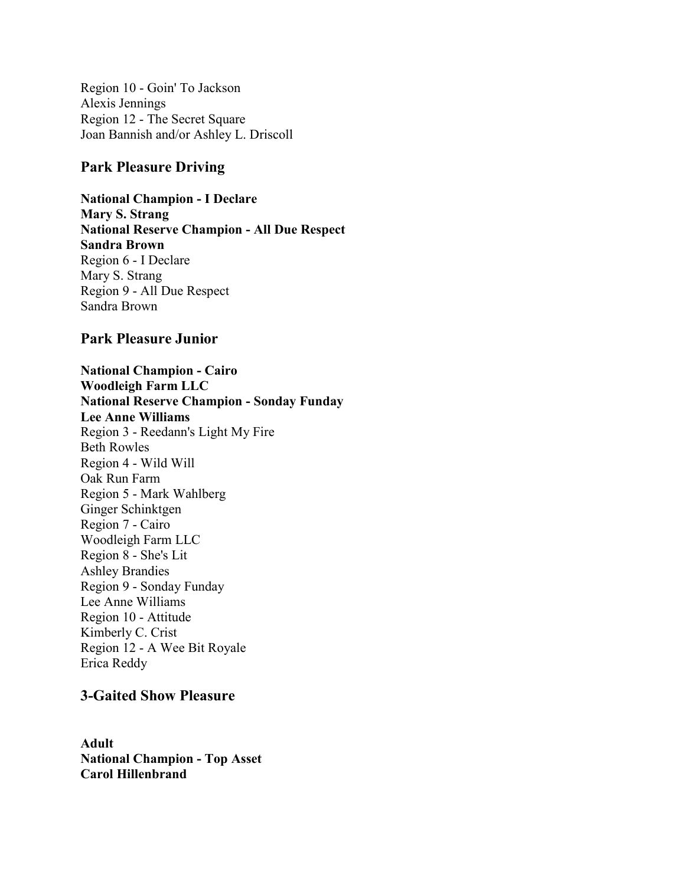Region 10 - Goin' To Jackson Alexis Jennings Region 12 - The Secret Square Joan Bannish and/or Ashley L. Driscoll

#### **Park Pleasure Driving**

**National Champion - I Declare Mary S. Strang National Reserve Champion - All Due Respect Sandra Brown**  Region 6 - I Declare Mary S. Strang Region 9 - All Due Respect Sandra Brown

#### **Park Pleasure Junior**

**National Champion - Cairo Woodleigh Farm LLC National Reserve Champion - Sonday Funday Lee Anne Williams**  Region 3 - Reedann's Light My Fire Beth Rowles Region 4 - Wild Will Oak Run Farm Region 5 - Mark Wahlberg Ginger Schinktgen Region 7 - Cairo Woodleigh Farm LLC Region 8 - She's Lit Ashley Brandies Region 9 - Sonday Funday Lee Anne Williams Region 10 - Attitude Kimberly C. Crist Region 12 - A Wee Bit Royale Erica Reddy

## **3-Gaited Show Pleasure**

**Adult National Champion - Top Asset Carol Hillenbrand**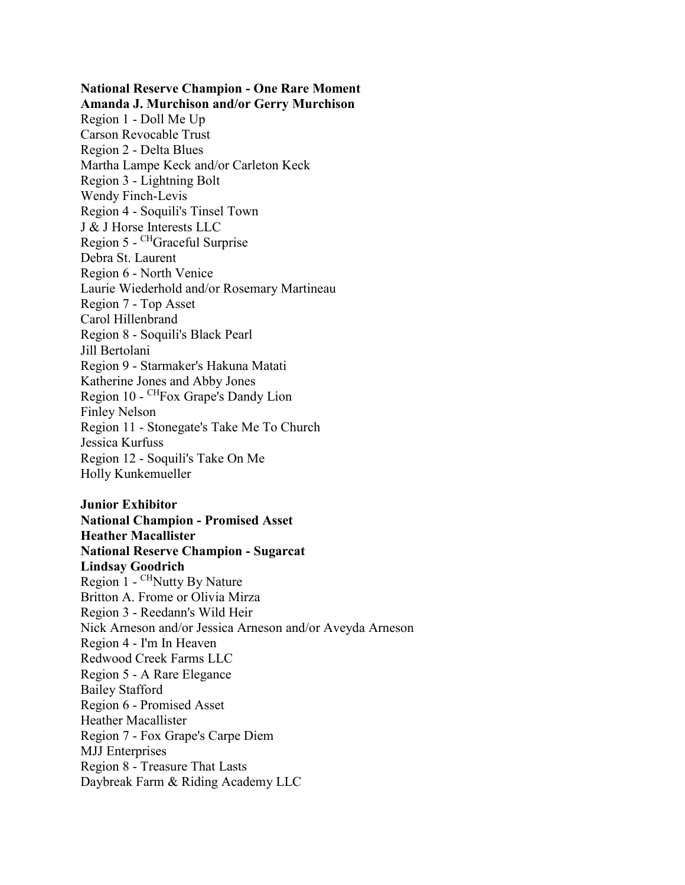**National Reserve Champion - One Rare Moment Amanda J. Murchison and/or Gerry Murchison**  Region 1 - Doll Me Up Carson Revocable Trust Region 2 - Delta Blues Martha Lampe Keck and/or Carleton Keck Region 3 - Lightning Bolt Wendy Finch-Levis Region 4 - Soquili's Tinsel Town J & J Horse Interests LLC Region 5 - CHGraceful Surprise Debra St. Laurent Region 6 - North Venice Laurie Wiederhold and/or Rosemary Martineau Region 7 - Top Asset Carol Hillenbrand Region 8 - Soquili's Black Pearl Jill Bertolani Region 9 - Starmaker's Hakuna Matati Katherine Jones and Abby Jones Region 10 - CHFox Grape's Dandy Lion Finley Nelson Region 11 - Stonegate's Take Me To Church Jessica Kurfuss Region 12 - Soquili's Take On Me Holly Kunkemueller

**Junior Exhibitor National Champion - Promised Asset Heather Macallister National Reserve Champion - Sugarcat Lindsay Goodrich**  Region 1 - CHNutty By Nature Britton A. Frome or Olivia Mirza Region 3 - Reedann's Wild Heir Nick Arneson and/or Jessica Arneson and/or Aveyda Arneson Region 4 - I'm In Heaven Redwood Creek Farms LLC Region 5 - A Rare Elegance Bailey Stafford Region 6 - Promised Asset Heather Macallister Region 7 - Fox Grape's Carpe Diem MJJ Enterprises Region 8 - Treasure That Lasts Daybreak Farm & Riding Academy LLC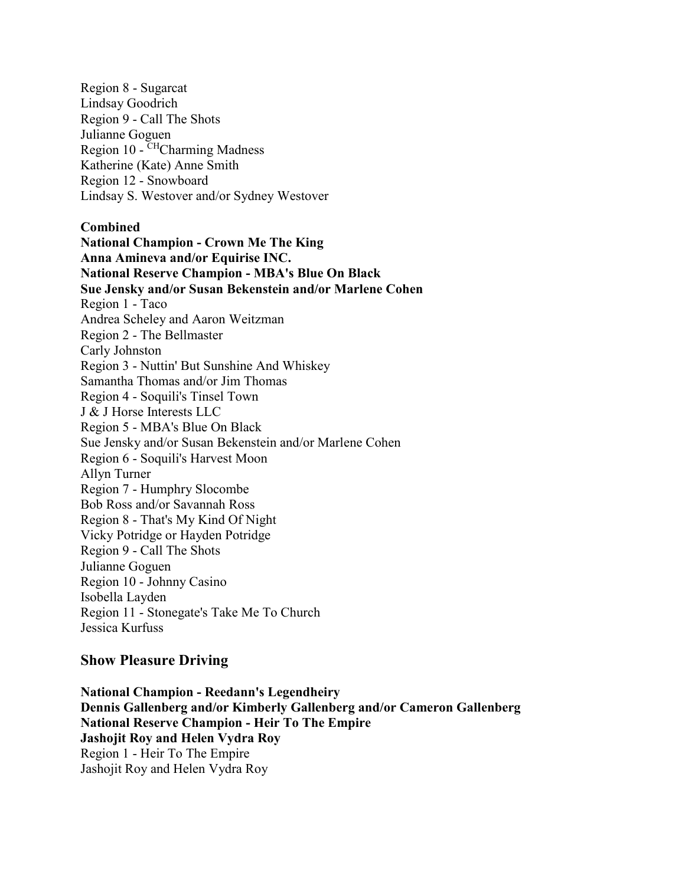Region 8 - Sugarcat Lindsay Goodrich Region 9 - Call The Shots Julianne Goguen Region 10 - CHCharming Madness Katherine (Kate) Anne Smith Region 12 - Snowboard Lindsay S. Westover and/or Sydney Westover

#### **Combined**

**National Champion - Crown Me The King Anna Amineva and/or Equirise INC. National Reserve Champion - MBA's Blue On Black Sue Jensky and/or Susan Bekenstein and/or Marlene Cohen**  Region 1 - Taco Andrea Scheley and Aaron Weitzman Region 2 - The Bellmaster Carly Johnston Region 3 - Nuttin' But Sunshine And Whiskey Samantha Thomas and/or Jim Thomas Region 4 - Soquili's Tinsel Town J & J Horse Interests LLC Region 5 - MBA's Blue On Black Sue Jensky and/or Susan Bekenstein and/or Marlene Cohen Region 6 - Soquili's Harvest Moon Allyn Turner Region 7 - Humphry Slocombe Bob Ross and/or Savannah Ross Region 8 - That's My Kind Of Night Vicky Potridge or Hayden Potridge Region 9 - Call The Shots Julianne Goguen Region 10 - Johnny Casino Isobella Layden Region 11 - Stonegate's Take Me To Church Jessica Kurfuss

#### **Show Pleasure Driving**

**National Champion - Reedann's Legendheiry Dennis Gallenberg and/or Kimberly Gallenberg and/or Cameron Gallenberg National Reserve Champion - Heir To The Empire Jashojit Roy and Helen Vydra Roy**  Region 1 - Heir To The Empire Jashojit Roy and Helen Vydra Roy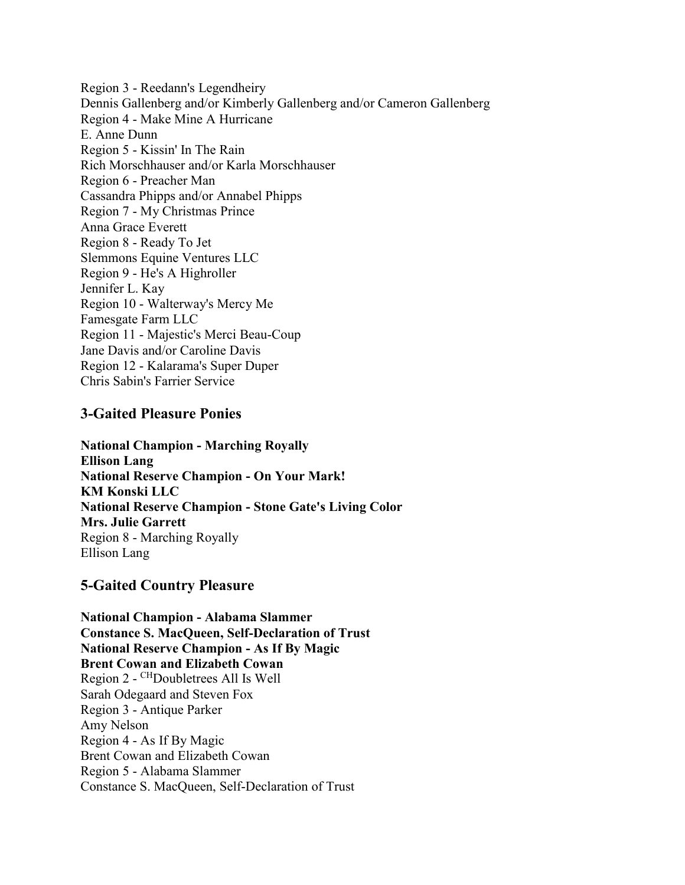Region 3 - Reedann's Legendheiry Dennis Gallenberg and/or Kimberly Gallenberg and/or Cameron Gallenberg Region 4 - Make Mine A Hurricane E. Anne Dunn Region 5 - Kissin' In The Rain Rich Morschhauser and/or Karla Morschhauser Region 6 - Preacher Man Cassandra Phipps and/or Annabel Phipps Region 7 - My Christmas Prince Anna Grace Everett Region 8 - Ready To Jet Slemmons Equine Ventures LLC Region 9 - He's A Highroller Jennifer L. Kay Region 10 - Walterway's Mercy Me Famesgate Farm LLC Region 11 - Majestic's Merci Beau-Coup Jane Davis and/or Caroline Davis Region 12 - Kalarama's Super Duper Chris Sabin's Farrier Service

#### **3-Gaited Pleasure Ponies**

**National Champion - Marching Royally Ellison Lang National Reserve Champion - On Your Mark! KM Konski LLC National Reserve Champion - Stone Gate's Living Color Mrs. Julie Garrett**  Region 8 - Marching Royally Ellison Lang

## **5-Gaited Country Pleasure**

**National Champion - Alabama Slammer Constance S. MacQueen, Self-Declaration of Trust National Reserve Champion - As If By Magic Brent Cowan and Elizabeth Cowan**  Region 2 - CHDoubletrees All Is Well Sarah Odegaard and Steven Fox Region 3 - Antique Parker Amy Nelson Region 4 - As If By Magic Brent Cowan and Elizabeth Cowan Region 5 - Alabama Slammer Constance S. MacQueen, Self-Declaration of Trust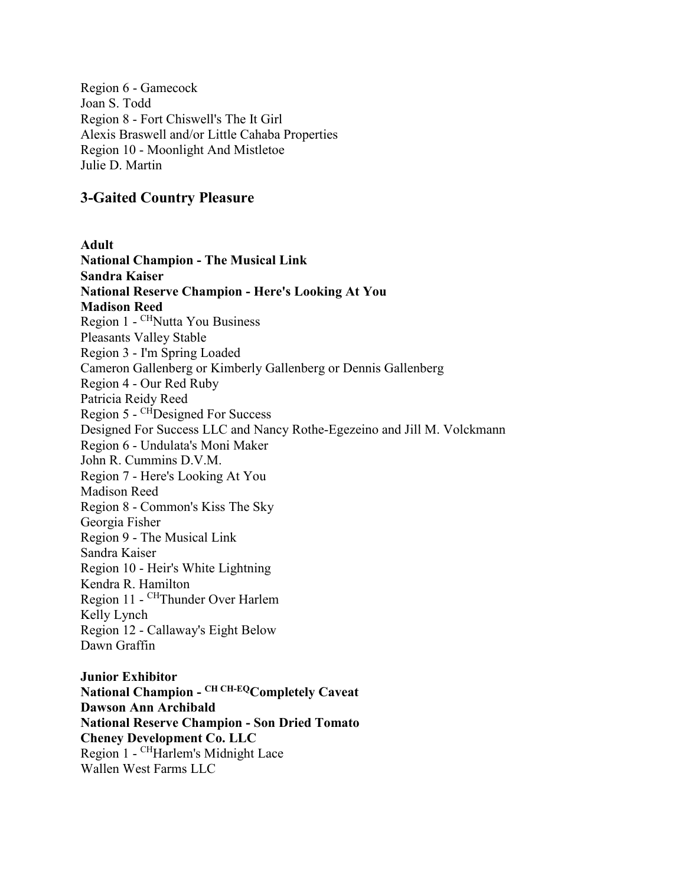Region 6 - Gamecock Joan S. Todd Region 8 - Fort Chiswell's The It Girl Alexis Braswell and/or Little Cahaba Properties Region 10 - Moonlight And Mistletoe Julie D. Martin

#### **3-Gaited Country Pleasure**

**Adult National Champion - The Musical Link Sandra Kaiser National Reserve Champion - Here's Looking At You Madison Reed**  Region 1 - CHNutta You Business Pleasants Valley Stable Region 3 - I'm Spring Loaded Cameron Gallenberg or Kimberly Gallenberg or Dennis Gallenberg Region 4 - Our Red Ruby Patricia Reidy Reed Region 5 - CHDesigned For Success Designed For Success LLC and Nancy Rothe-Egezeino and Jill M. Volckmann Region 6 - Undulata's Moni Maker John R. Cummins D.V.M. Region 7 - Here's Looking At You Madison Reed Region 8 - Common's Kiss The Sky Georgia Fisher Region 9 - The Musical Link Sandra Kaiser Region 10 - Heir's White Lightning Kendra R. Hamilton Region 11 - CHThunder Over Harlem Kelly Lynch Region 12 - Callaway's Eight Below Dawn Graffin

**Junior Exhibitor National Champion - CH CH-EQCompletely Caveat Dawson Ann Archibald National Reserve Champion - Son Dried Tomato Cheney Development Co. LLC**  Region 1 - CHHarlem's Midnight Lace Wallen West Farms LLC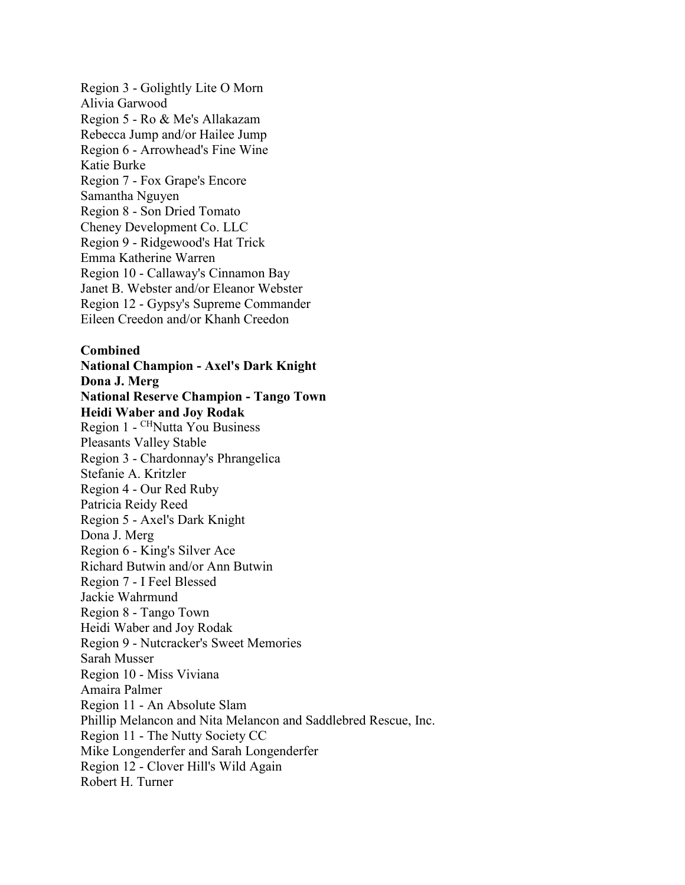Region 3 - Golightly Lite O Morn Alivia Garwood Region 5 - Ro & Me's Allakazam Rebecca Jump and/or Hailee Jump Region 6 - Arrowhead's Fine Wine Katie Burke Region 7 - Fox Grape's Encore Samantha Nguyen Region 8 - Son Dried Tomato Cheney Development Co. LLC Region 9 - Ridgewood's Hat Trick Emma Katherine Warren Region 10 - Callaway's Cinnamon Bay Janet B. Webster and/or Eleanor Webster Region 12 - Gypsy's Supreme Commander Eileen Creedon and/or Khanh Creedon

#### **Combined**

**National Champion - Axel's Dark Knight Dona J. Merg National Reserve Champion - Tango Town Heidi Waber and Joy Rodak**  Region 1 - CHNutta You Business Pleasants Valley Stable Region 3 - Chardonnay's Phrangelica Stefanie A. Kritzler Region 4 - Our Red Ruby Patricia Reidy Reed Region 5 - Axel's Dark Knight Dona J. Merg Region 6 - King's Silver Ace Richard Butwin and/or Ann Butwin Region 7 - I Feel Blessed Jackie Wahrmund Region 8 - Tango Town Heidi Waber and Joy Rodak Region 9 - Nutcracker's Sweet Memories Sarah Musser Region 10 - Miss Viviana Amaira Palmer Region 11 - An Absolute Slam Phillip Melancon and Nita Melancon and Saddlebred Rescue, Inc. Region 11 - The Nutty Society CC Mike Longenderfer and Sarah Longenderfer Region 12 - Clover Hill's Wild Again Robert H. Turner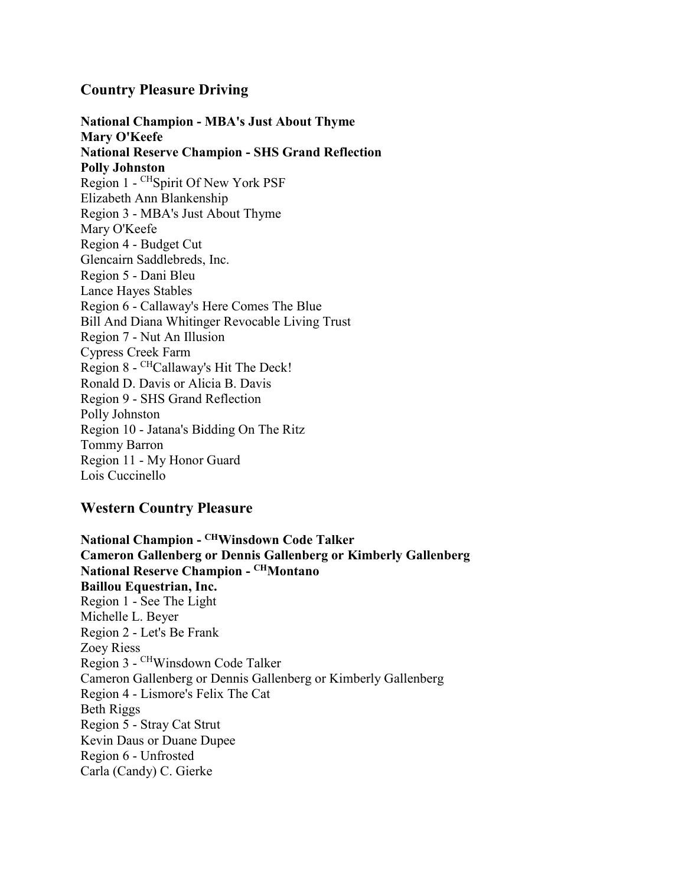#### **Country Pleasure Driving**

**National Champion - MBA's Just About Thyme Mary O'Keefe National Reserve Champion - SHS Grand Reflection Polly Johnston**  Region 1 - CHSpirit Of New York PSF Elizabeth Ann Blankenship Region 3 - MBA's Just About Thyme Mary O'Keefe Region 4 - Budget Cut Glencairn Saddlebreds, Inc. Region 5 - Dani Bleu Lance Hayes Stables Region 6 - Callaway's Here Comes The Blue Bill And Diana Whitinger Revocable Living Trust Region 7 - Nut An Illusion Cypress Creek Farm Region 8 - CHCallaway's Hit The Deck! Ronald D. Davis or Alicia B. Davis Region 9 - SHS Grand Reflection Polly Johnston Region 10 - Jatana's Bidding On The Ritz Tommy Barron Region 11 - My Honor Guard Lois Cuccinello

## **Western Country Pleasure**

**National Champion - CHWinsdown Code Talker Cameron Gallenberg or Dennis Gallenberg or Kimberly Gallenberg National Reserve Champion - CHMontano Baillou Equestrian, Inc.**  Region 1 - See The Light Michelle L. Beyer Region 2 - Let's Be Frank Zoey Riess Region 3 - CHWinsdown Code Talker Cameron Gallenberg or Dennis Gallenberg or Kimberly Gallenberg Region 4 - Lismore's Felix The Cat Beth Riggs Region 5 - Stray Cat Strut Kevin Daus or Duane Dupee Region 6 - Unfrosted Carla (Candy) C. Gierke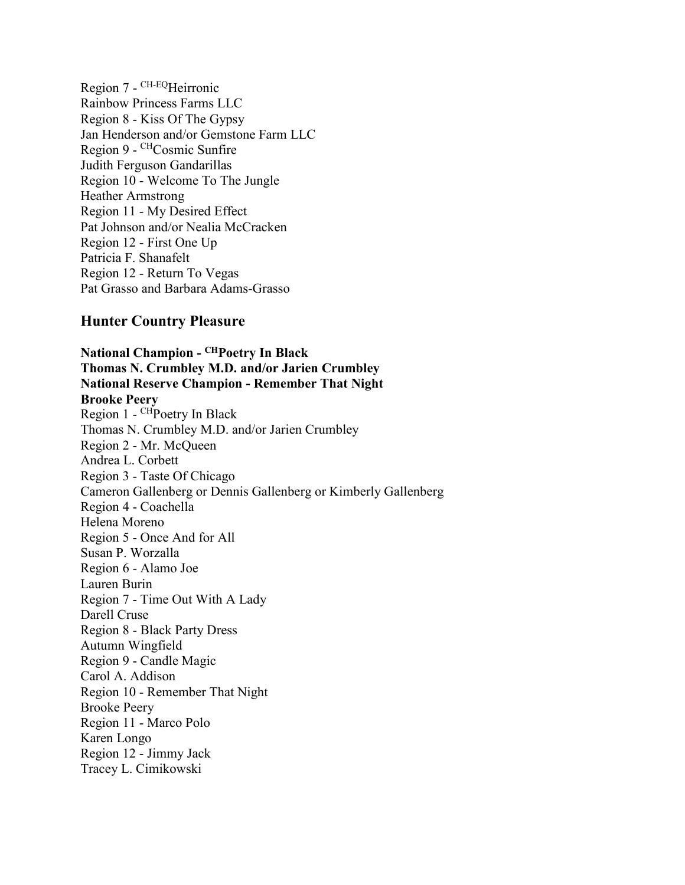Region 7 - CH-EQHeirronic Rainbow Princess Farms LLC Region 8 - Kiss Of The Gypsy Jan Henderson and/or Gemstone Farm LLC Region 9 - CHCosmic Sunfire Judith Ferguson Gandarillas Region 10 - Welcome To The Jungle Heather Armstrong Region 11 - My Desired Effect Pat Johnson and/or Nealia McCracken Region 12 - First One Up Patricia F. Shanafelt Region 12 - Return To Vegas Pat Grasso and Barbara Adams-Grasso

#### **Hunter Country Pleasure**

**National Champion - CHPoetry In Black Thomas N. Crumbley M.D. and/or Jarien Crumbley National Reserve Champion - Remember That Night Brooke Peery**  Region  $1 -$ <sup>CH</sup>Poetry In Black Thomas N. Crumbley M.D. and/or Jarien Crumbley Region 2 - Mr. McQueen Andrea L. Corbett Region 3 - Taste Of Chicago Cameron Gallenberg or Dennis Gallenberg or Kimberly Gallenberg Region 4 - Coachella Helena Moreno Region 5 - Once And for All Susan P. Worzalla Region 6 - Alamo Joe Lauren Burin Region 7 - Time Out With A Lady Darell Cruse Region 8 - Black Party Dress Autumn Wingfield Region 9 - Candle Magic Carol A. Addison Region 10 - Remember That Night Brooke Peery Region 11 - Marco Polo Karen Longo Region 12 - Jimmy Jack Tracey L. Cimikowski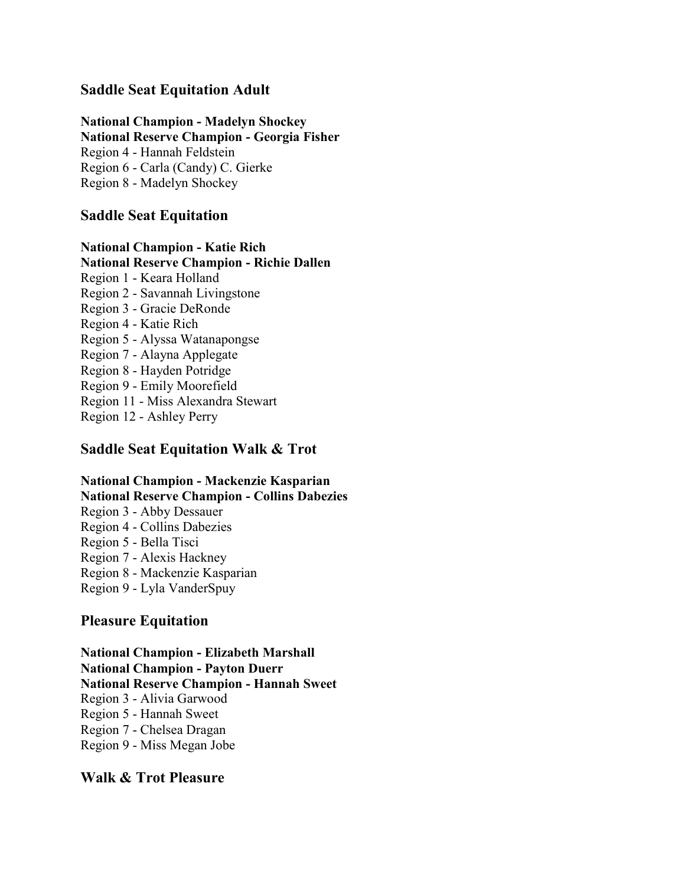#### **Saddle Seat Equitation Adult**

**National Champion - Madelyn Shockey**

**National Reserve Champion - Georgia Fisher**

Region 4 - Hannah Feldstein

Region 6 - Carla (Candy) C. Gierke

Region 8 - Madelyn Shockey

#### **Saddle Seat Equitation**

#### **National Champion - Katie Rich**

#### **National Reserve Champion - Richie Dallen**

Region 1 - Keara Holland Region 2 - Savannah Livingstone Region 3 - Gracie DeRonde Region 4 - Katie Rich Region 5 - Alyssa Watanapongse Region 7 - Alayna Applegate Region 8 - Hayden Potridge Region 9 - Emily Moorefield Region 11 - Miss Alexandra Stewart Region 12 - Ashley Perry

### **Saddle Seat Equitation Walk & Trot**

#### **National Champion - Mackenzie Kasparian National Reserve Champion - Collins Dabezies** Region 3 - Abby Dessauer Region 4 - Collins Dabezies

Region 5 - Bella Tisci

Region 7 - Alexis Hackney

Region 8 - Mackenzie Kasparian

Region 9 - Lyla VanderSpuy

#### **Pleasure Equitation**

**National Champion - Elizabeth Marshall National Champion - Payton Duerr National Reserve Champion - Hannah Sweet** Region 3 - Alivia Garwood Region 5 - Hannah Sweet Region 7 - Chelsea Dragan Region 9 - Miss Megan Jobe

#### **Walk & Trot Pleasure**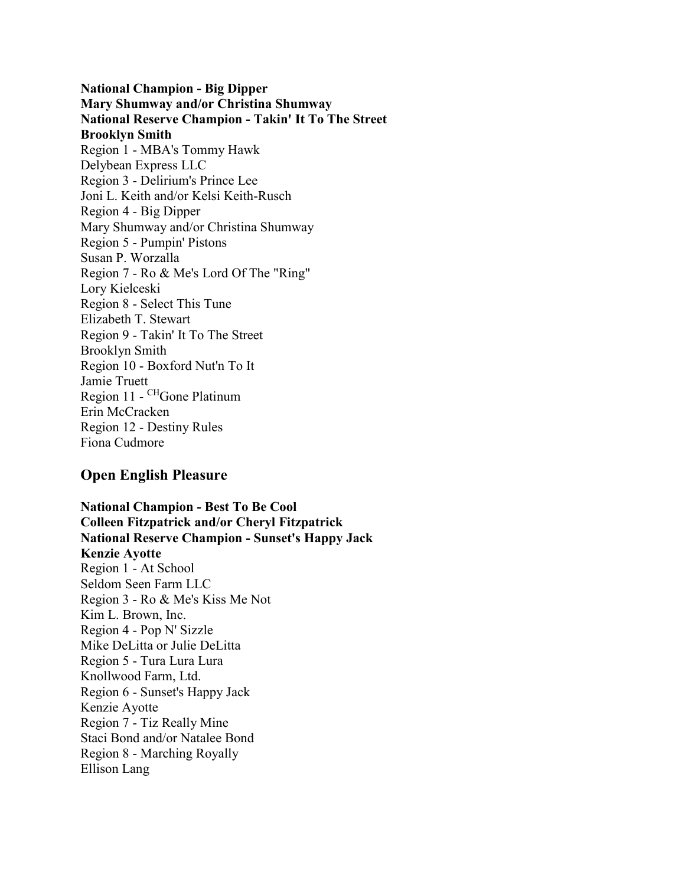**National Champion - Big Dipper Mary Shumway and/or Christina Shumway National Reserve Champion - Takin' It To The Street Brooklyn Smith**  Region 1 - MBA's Tommy Hawk Delybean Express LLC Region 3 - Delirium's Prince Lee Joni L. Keith and/or Kelsi Keith-Rusch Region 4 - Big Dipper Mary Shumway and/or Christina Shumway Region 5 - Pumpin' Pistons Susan P. Worzalla Region 7 - Ro & Me's Lord Of The "Ring" Lory Kielceski Region 8 - Select This Tune Elizabeth T. Stewart Region 9 - Takin' It To The Street Brooklyn Smith Region 10 - Boxford Nut'n To It Jamie Truett Region 11 - CHGone Platinum Erin McCracken Region 12 - Destiny Rules Fiona Cudmore

#### **Open English Pleasure**

**National Champion - Best To Be Cool Colleen Fitzpatrick and/or Cheryl Fitzpatrick National Reserve Champion - Sunset's Happy Jack Kenzie Ayotte**  Region 1 - At School Seldom Seen Farm LLC Region 3 - Ro & Me's Kiss Me Not Kim L. Brown, Inc. Region 4 - Pop N' Sizzle Mike DeLitta or Julie DeLitta Region 5 - Tura Lura Lura Knollwood Farm, Ltd. Region 6 - Sunset's Happy Jack Kenzie Ayotte Region 7 - Tiz Really Mine Staci Bond and/or Natalee Bond Region 8 - Marching Royally Ellison Lang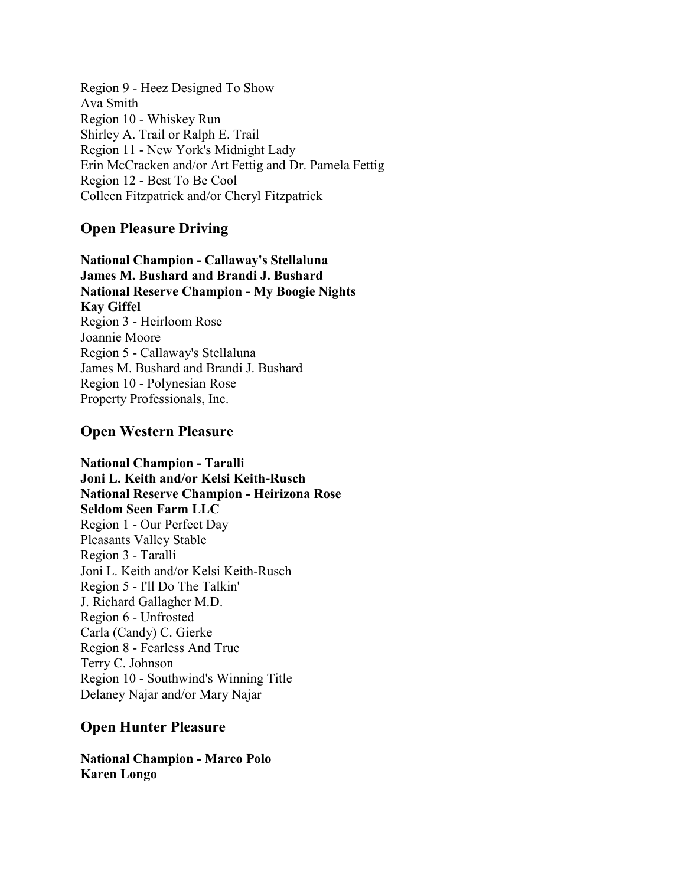Region 9 - Heez Designed To Show Ava Smith Region 10 - Whiskey Run Shirley A. Trail or Ralph E. Trail Region 11 - New York's Midnight Lady Erin McCracken and/or Art Fettig and Dr. Pamela Fettig Region 12 - Best To Be Cool Colleen Fitzpatrick and/or Cheryl Fitzpatrick

## **Open Pleasure Driving**

**National Champion - Callaway's Stellaluna James M. Bushard and Brandi J. Bushard National Reserve Champion - My Boogie Nights Kay Giffel**  Region 3 - Heirloom Rose Joannie Moore Region 5 - Callaway's Stellaluna James M. Bushard and Brandi J. Bushard Region 10 - Polynesian Rose Property Professionals, Inc.

## **Open Western Pleasure**

**National Champion - Taralli Joni L. Keith and/or Kelsi Keith-Rusch National Reserve Champion - Heirizona Rose Seldom Seen Farm LLC**  Region 1 - Our Perfect Day Pleasants Valley Stable Region 3 - Taralli Joni L. Keith and/or Kelsi Keith-Rusch Region 5 - I'll Do The Talkin' J. Richard Gallagher M.D. Region 6 - Unfrosted Carla (Candy) C. Gierke Region 8 - Fearless And True Terry C. Johnson Region 10 - Southwind's Winning Title Delaney Najar and/or Mary Najar

## **Open Hunter Pleasure**

**National Champion - Marco Polo Karen Longo**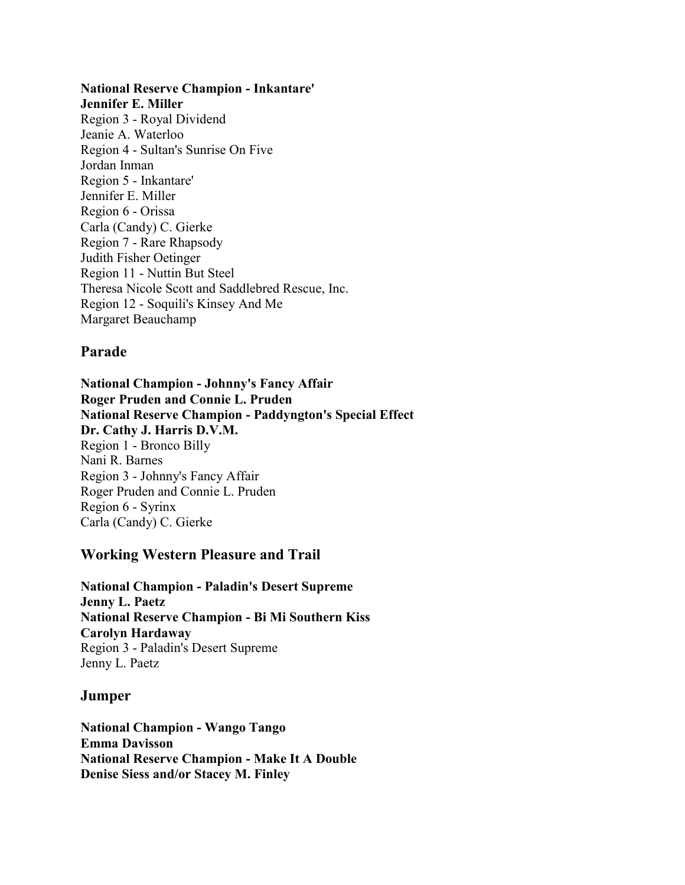#### **National Reserve Champion - Inkantare'**

**Jennifer E. Miller**  Region 3 - Royal Dividend Jeanie A. Waterloo Region 4 - Sultan's Sunrise On Five Jordan Inman Region 5 - Inkantare' Jennifer E. Miller Region 6 - Orissa Carla (Candy) C. Gierke Region 7 - Rare Rhapsody Judith Fisher Oetinger Region 11 - Nuttin But Steel Theresa Nicole Scott and Saddlebred Rescue, Inc. Region 12 - Soquili's Kinsey And Me Margaret Beauchamp

#### **Parade**

**National Champion - Johnny's Fancy Affair Roger Pruden and Connie L. Pruden National Reserve Champion - Paddyngton's Special Effect Dr. Cathy J. Harris D.V.M.**  Region 1 - Bronco Billy Nani R. Barnes Region 3 - Johnny's Fancy Affair Roger Pruden and Connie L. Pruden Region 6 - Syrinx Carla (Candy) C. Gierke

#### **Working Western Pleasure and Trail**

**National Champion - Paladin's Desert Supreme Jenny L. Paetz National Reserve Champion - Bi Mi Southern Kiss Carolyn Hardaway**  Region 3 - Paladin's Desert Supreme Jenny L. Paetz

#### **Jumper**

**National Champion - Wango Tango Emma Davisson National Reserve Champion - Make It A Double Denise Siess and/or Stacey M. Finley**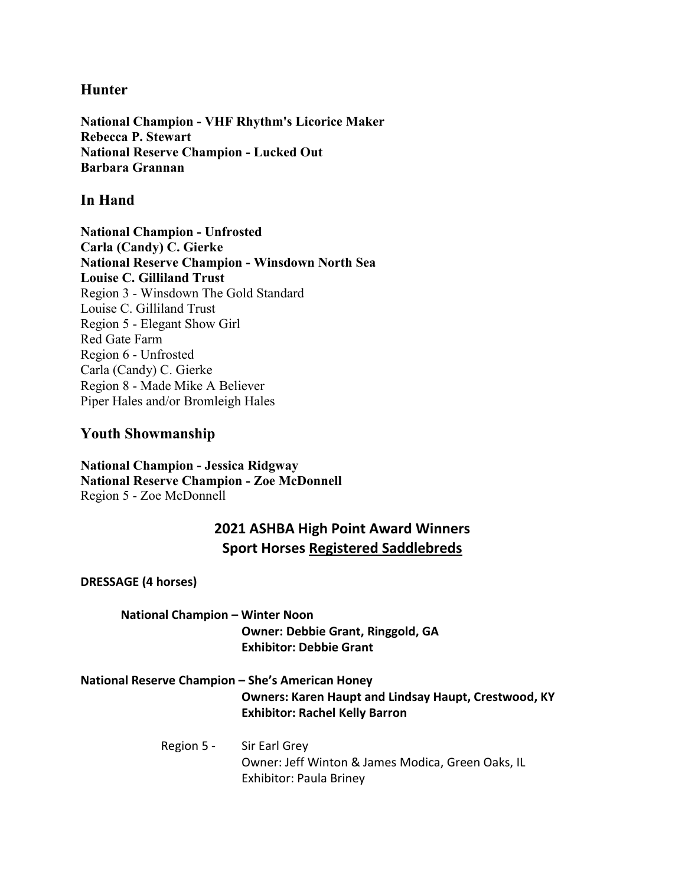#### **Hunter**

**National Champion - VHF Rhythm's Licorice Maker Rebecca P. Stewart National Reserve Champion - Lucked Out Barbara Grannan** 

#### **In Hand**

**National Champion - Unfrosted Carla (Candy) C. Gierke National Reserve Champion - Winsdown North Sea Louise C. Gilliland Trust**  Region 3 - Winsdown The Gold Standard Louise C. Gilliland Trust Region 5 - Elegant Show Girl Red Gate Farm Region 6 - Unfrosted Carla (Candy) C. Gierke Region 8 - Made Mike A Believer Piper Hales and/or Bromleigh Hales

#### **Youth Showmanship**

**National Champion - Jessica Ridgway National Reserve Champion - Zoe McDonnell** Region 5 - Zoe McDonnell

## **2021 ASHBA High Point Award Winners Sport Horses Registered Saddlebreds**

**DRESSAGE (4 horses)**

#### **National Champion – Winter Noon Owner: Debbie Grant, Ringgold, GA Exhibitor: Debbie Grant**

#### **National Reserve Champion – She's American Honey Owners: [Karen Haupt](https://db.asha.net/Content/Members/Entity/Default.aspx?id=117826) and [Lindsay Haupt,](https://db.asha.net/Content/Members/Entity/Default.aspx?id=100226) Crestwood, KY Exhibitor: Rachel Kelly Barron**

#### Region 5 - Sir Earl Grey Owner: Jeff Winton & James Modica, Green Oaks, IL Exhibitor: Paula Briney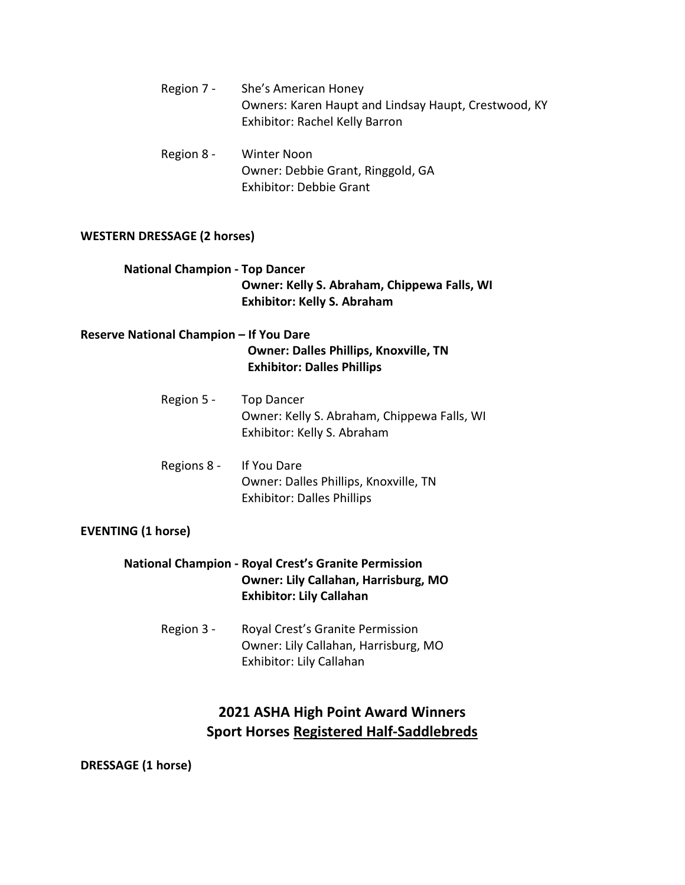- Region 7 She's American Honey Owners: [Karen Haupt](https://db.asha.net/Content/Members/Entity/Default.aspx?id=117826) and [Lindsay Haupt,](https://db.asha.net/Content/Members/Entity/Default.aspx?id=100226) Crestwood, KY Exhibitor: Rachel Kelly Barron
- Region 8 Winter Noon Owner: Debbie Grant, Ringgold, GA Exhibitor: Debbie Grant

#### **WESTERN DRESSAGE (2 horses)**

#### **National Champion - Top Dancer Owner: Kelly S. Abraham, Chippewa Falls, WI Exhibitor: Kelly S. Abraham**

#### **Reserve National Champion – If You Dare Owner: Dalles Phillips, Knoxville, TN Exhibitor: Dalles Phillips**

- Region 5 Top Dancer Owner: Kelly S. Abraham, Chippewa Falls, WI Exhibitor: Kelly S. Abraham
- Regions 8 If You Dare Owner: Dalles Phillips, Knoxville, TN Exhibitor: Dalles Phillips

#### **EVENTING (1 horse)**

#### **National Champion - Royal Crest's Granite Permission Owner: Lily Callahan, Harrisburg, MO Exhibitor: Lily Callahan**

Region 3 - Royal Crest's Granite Permission Owner: Lily Callahan, Harrisburg, MO Exhibitor: Lily Callahan

## **2021 ASHA High Point Award Winners Sport Horses Registered Half-Saddlebreds**

**DRESSAGE (1 horse)**